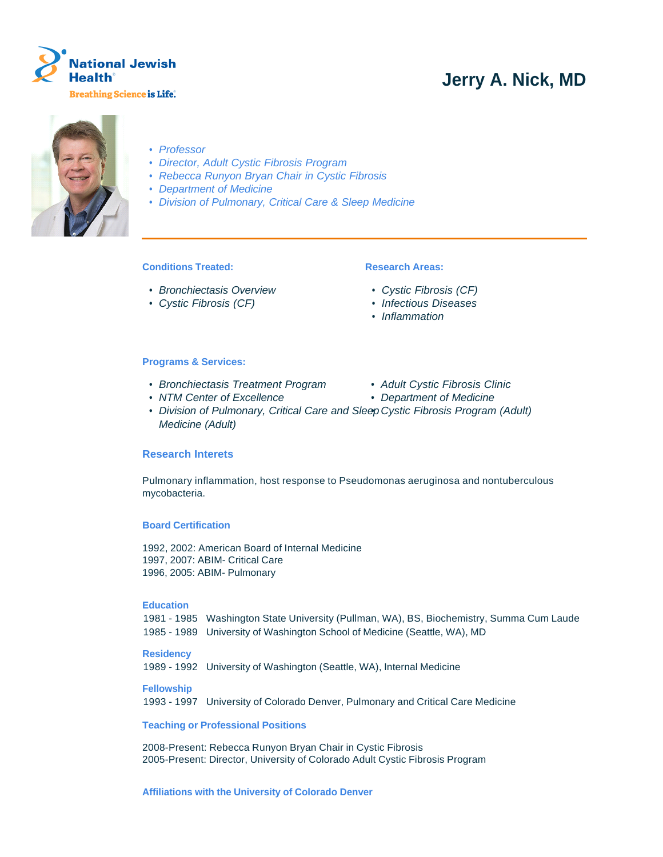

# **Jerry A. Nick, MD**



- Professor
- Director, Adult Cystic Fibrosis Program
- Rebecca Runyon Bryan Chair in Cystic Fibrosis
- Department of Medicine
- Division of Pulmonary, Critical Care & Sleep Medicine

# **Conditions Treated:**

- Bronchiectasis Overview
- Cystic Fibrosis (CF)

# **Research Areas:**

- Cystic Fibrosis (CF)
- Infectious Diseases
- Inflammation

#### **Programs & Services:**

- Bronchiectasis Treatment Program Adult Cystic Fibrosis Clinic
- NTM Center of Excellence Department of Medicine
- -
- Division of Pulmonary, Critical Care and Sleep Cystic Fibrosis Program (Adult) Medicine (Adult)

# **Research Interets**

Pulmonary inflammation, host response to Pseudomonas aeruginosa and nontuberculous mycobacteria.

#### **Board Certification**

1992, 2002: American Board of Internal Medicine 1997, 2007: ABIM- Critical Care 1996, 2005: ABIM- Pulmonary

#### **Education**

1981 - 1985 Washington State University (Pullman, WA), BS, Biochemistry, Summa Cum Laude 1985 - 1989 University of Washington School of Medicine (Seattle, WA), MD

### **Residency**

1989 - 1992 University of Washington (Seattle, WA), Internal Medicine

#### **Fellowship**

1993 - 1997 University of Colorado Denver, Pulmonary and Critical Care Medicine

#### **Teaching or Professional Positions**

2008-Present: Rebecca Runyon Bryan Chair in Cystic Fibrosis 2005-Present: Director, University of Colorado Adult Cystic Fibrosis Program

# **Affiliations with the University of Colorado Denver**